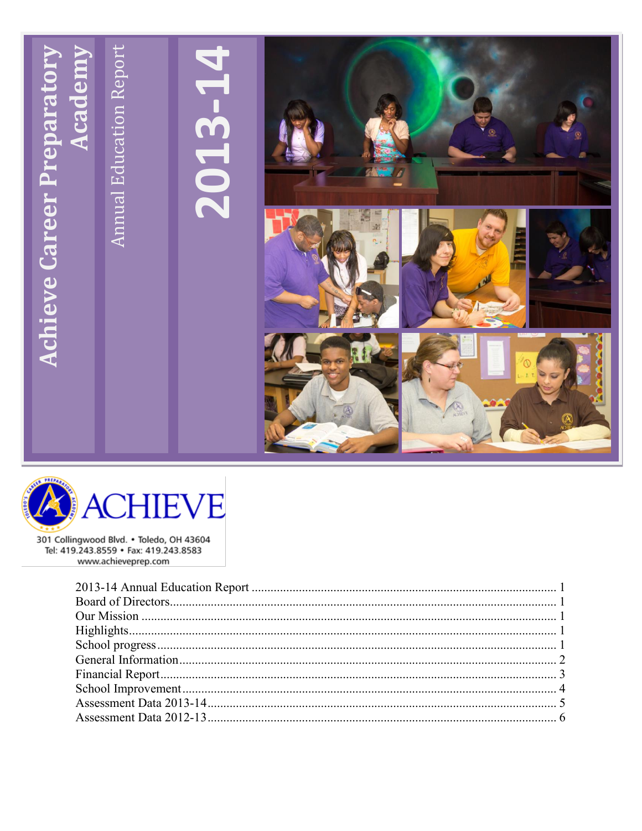



301 Collingwood Blvd. . Toledo, OH 43604 Tel: 419.243.8559 · Fax: 419.243.8583 www.achieveprep.com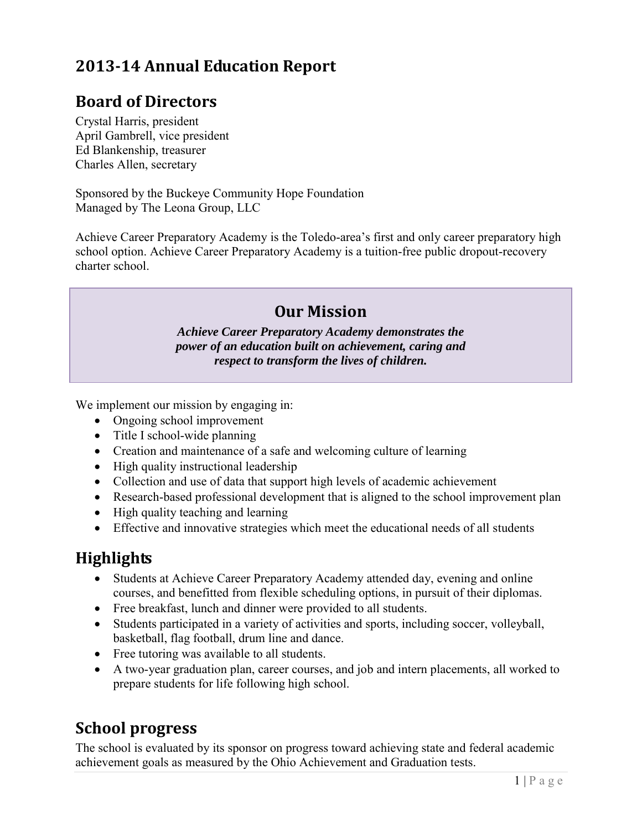# <span id="page-1-0"></span>**2013-14 Annual Education Report**

#### <span id="page-1-1"></span>**Board of Directors**

Crystal Harris, president April Gambrell, vice president Ed Blankenship, treasurer Charles Allen, secretary

Sponsored by the Buckeye Community Hope Foundation Managed by The Leona Group, LLC

<span id="page-1-2"></span>Achieve Career Preparatory Academy is the Toledo-area's first and only career preparatory high school option. Achieve Career Preparatory Academy is a tuition-free public dropout-recovery charter school.

### **Our Mission**

*Achieve Career Preparatory Academy demonstrates the power of an education built on achievement, caring and respect to transform the lives of children.*

We implement our mission by engaging in:

- Ongoing school improvement
- $\bullet$  Title I school-wide planning
- Creation and maintenance of a safe and welcoming culture of learning
- High quality instructional leadership
- Collection and use of data that support high levels of academic achievement
- Research-based professional development that is aligned to the school improvement plan
- High quality teaching and learning
- Effective and innovative strategies which meet the educational needs of all students

### <span id="page-1-3"></span>**Highlights**

- Students at Achieve Career Preparatory Academy attended day, evening and online courses, and benefitted from flexible scheduling options, in pursuit of their diplomas.
- Free breakfast, lunch and dinner were provided to all students.
- Students participated in a variety of activities and sports, including soccer, volleyball, basketball, flag football, drum line and dance.
- Free tutoring was available to all students.
- A two-year graduation plan, career courses, and job and intern placements, all worked to prepare students for life following high school.

## <span id="page-1-4"></span>**School progress**

The school is evaluated by its sponsor on progress toward achieving state and federal academic achievement goals as measured by the Ohio Achievement and Graduation tests.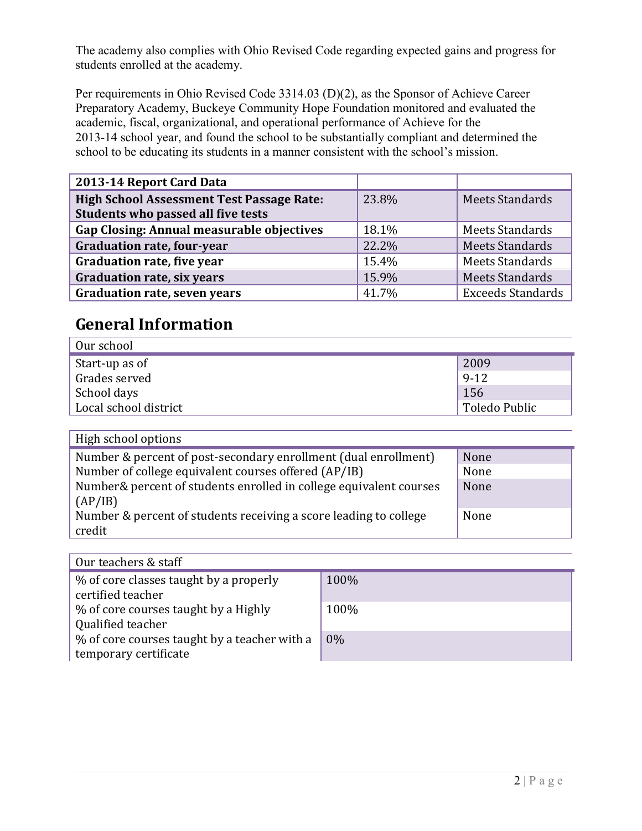The academy also complies with Ohio Revised Code regarding expected gains and progress for students enrolled at the academy.

Per requirements in Ohio Revised Code 3314.03 (D)(2), as the Sponsor of Achieve Career Preparatory Academy, Buckeye Community Hope Foundation monitored and evaluated the academic, fiscal, organizational, and operational performance of Achieve for the 2013-14 school year, and found the school to be substantially compliant and determined the school to be educating its students in a manner consistent with the school's mission.

| 2013-14 Report Card Data                                                               |       |                          |
|----------------------------------------------------------------------------------------|-------|--------------------------|
| <b>High School Assessment Test Passage Rate:</b><br>Students who passed all five tests | 23.8% | <b>Meets Standards</b>   |
| Gap Closing: Annual measurable objectives                                              | 18.1% | Meets Standards          |
| <b>Graduation rate, four-year</b>                                                      | 22.2% | <b>Meets Standards</b>   |
| <b>Graduation rate, five year</b>                                                      | 15.4% | <b>Meets Standards</b>   |
| <b>Graduation rate, six years</b>                                                      | 15.9% | <b>Meets Standards</b>   |
| <b>Graduation rate, seven years</b>                                                    | 41.7% | <b>Exceeds Standards</b> |

### <span id="page-2-0"></span>**General Information**

| Our school            |                            |
|-----------------------|----------------------------|
| Start-up as of        | 2009                       |
| Grades served         | $9-12$                     |
| School days           | 156                        |
| Local school district | <sub>1</sub> Toledo Public |

High school options

| Number & percent of post-secondary enrollment (dual enrollment)    | None |
|--------------------------------------------------------------------|------|
| Number of college equivalent courses offered (AP/IB)               | None |
| Number& percent of students enrolled in college equivalent courses | None |
| (AP/IB)                                                            |      |
| Number & percent of students receiving a score leading to college  | None |
| credit                                                             |      |

| Our teachers & staff                                                  |       |  |  |  |  |
|-----------------------------------------------------------------------|-------|--|--|--|--|
| % of core classes taught by a properly<br>certified teacher           | 100%  |  |  |  |  |
| % of core courses taught by a Highly<br>Qualified teacher             | 100%  |  |  |  |  |
| % of core courses taught by a teacher with a<br>temporary certificate | $0\%$ |  |  |  |  |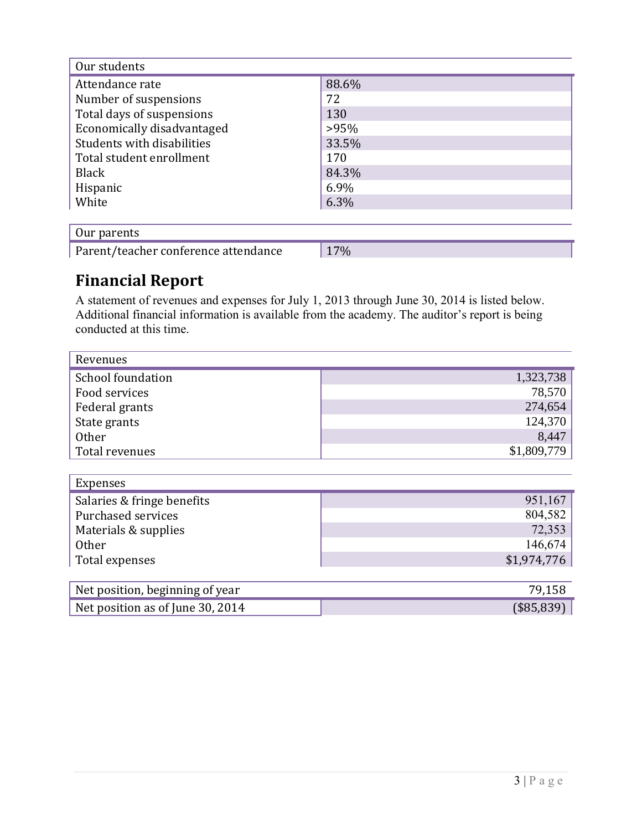| Our students               |         |  |  |  |  |
|----------------------------|---------|--|--|--|--|
| Attendance rate            | 88.6%   |  |  |  |  |
| Number of suspensions      | 72      |  |  |  |  |
| Total days of suspensions  | 130     |  |  |  |  |
| Economically disadvantaged | $>95\%$ |  |  |  |  |
| Students with disabilities | 33.5%   |  |  |  |  |
| Total student enrollment   | 170     |  |  |  |  |
| Black                      | 84.3%   |  |  |  |  |
| Hispanic                   | 6.9%    |  |  |  |  |
| White                      | 6.3%    |  |  |  |  |
|                            |         |  |  |  |  |

| Our parents                          |     |
|--------------------------------------|-----|
| Parent/teacher conference attendance | 17% |

# <span id="page-3-0"></span>**Financial Report**

A statement of revenues and expenses for July 1, 2013 through June 30, 2014 is listed below. Additional financial information is available from the academy. The auditor's report is being conducted at this time.

| Revenues                   |             |
|----------------------------|-------------|
| School foundation          | 1,323,738   |
| Food services              | 78,570      |
| Federal grants             | 274,654     |
| State grants               | 124,370     |
| <b>Other</b>               | 8,447       |
| Total revenues             | \$1,809,779 |
|                            |             |
| Expenses                   |             |
| Salaries & fringe benefits | 951,167     |
| Purchased services         | 804,582     |
| Materials & supplies       | 72,353      |
| <b>Other</b>               | 146,674     |
| Total expenses             | \$1,974,776 |

| Net position, beginning of year  |               |
|----------------------------------|---------------|
| Net position as of June 30, 2014 | $($ \$85,839) |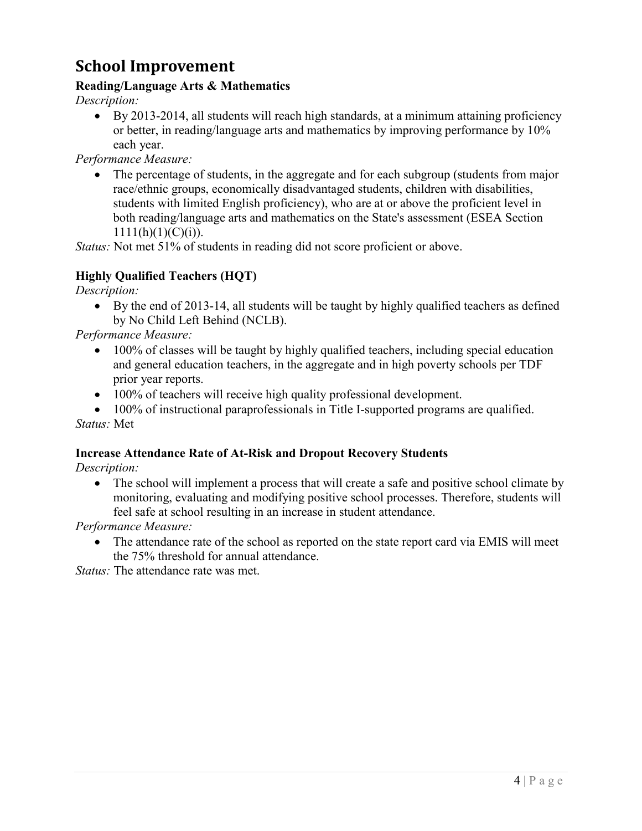## <span id="page-4-0"></span>**School Improvement**

#### **Reading/Language Arts & Mathematics**

*Description:*

 By 2013-2014, all students will reach high standards, at a minimum attaining proficiency or better, in reading/language arts and mathematics by improving performance by 10% each year.

*Performance Measure:* 

 The percentage of students, in the aggregate and for each subgroup (students from major race/ethnic groups, economically disadvantaged students, children with disabilities, students with limited English proficiency), who are at or above the proficient level in both reading/language arts and mathematics on the State's assessment (ESEA Section  $1111(h)(1)(C)(i)$ .

*Status:* Not met 51% of students in reading did not score proficient or above.

#### **Highly Qualified Teachers (HQT)**

*Description:* 

 By the end of 2013-14, all students will be taught by highly qualified teachers as defined by No Child Left Behind (NCLB).

*Performance Measure:* 

- 100% of classes will be taught by highly qualified teachers, including special education and general education teachers, in the aggregate and in high poverty schools per TDF prior year reports.
- 100% of teachers will receive high quality professional development.

• 100% of instructional paraprofessionals in Title I-supported programs are qualified. *Status:* Met

#### **Increase Attendance Rate of At-Risk and Dropout Recovery Students**

*Description:* 

• The school will implement a process that will create a safe and positive school climate by monitoring, evaluating and modifying positive school processes. Therefore, students will feel safe at school resulting in an increase in student attendance.

*Performance Measure:* 

 The attendance rate of the school as reported on the state report card via EMIS will meet the 75% threshold for annual attendance.

*Status:* The attendance rate was met.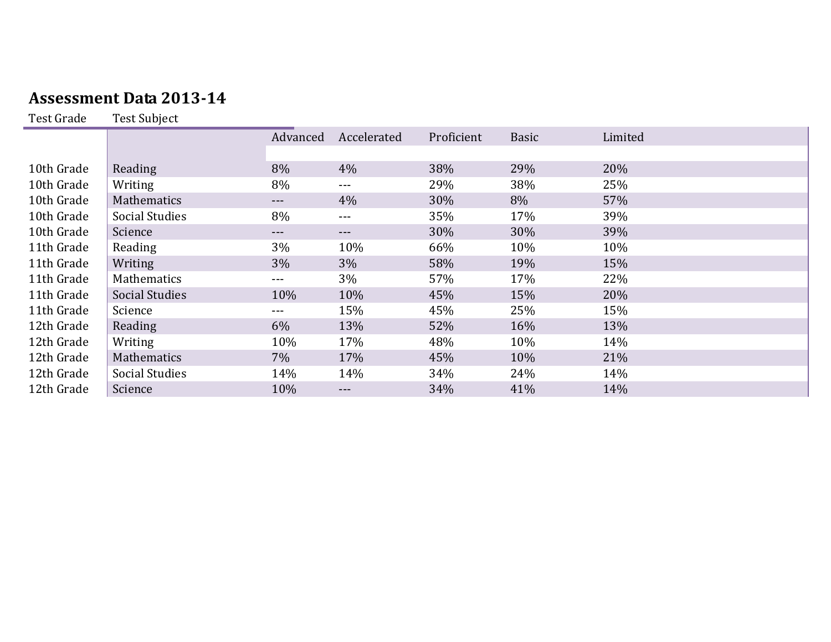## **Assessment Data 2013-14**

Test Grade Test Subject

<span id="page-5-0"></span>

|            |                       | Advanced | Accelerated | Proficient | <b>Basic</b> | Limited |
|------------|-----------------------|----------|-------------|------------|--------------|---------|
|            |                       |          |             |            |              |         |
| 10th Grade | Reading               | 8%       | 4%          | 38%        | 29%          | 20%     |
| 10th Grade | Writing               | 8%       | $- - -$     | 29%        | 38%          | 25%     |
| 10th Grade | <b>Mathematics</b>    | $---$    | 4%          | 30%        | 8%           | 57%     |
| 10th Grade | <b>Social Studies</b> | 8%       | $---$       | 35%        | 17%          | 39%     |
| 10th Grade | Science               | ---      | $---$       | 30%        | 30%          | 39%     |
| 11th Grade | Reading               | 3%       | 10%         | 66%        | 10%          | 10%     |
| 11th Grade | Writing               | 3%       | 3%          | 58%        | 19%          | 15%     |
| 11th Grade | Mathematics           | ---      | 3%          | 57%        | 17%          | 22%     |
| 11th Grade | <b>Social Studies</b> | 10%      | 10%         | 45%        | 15%          | 20%     |
| 11th Grade | Science               | ---      | 15%         | 45%        | 25%          | 15%     |
| 12th Grade | Reading               | 6%       | 13%         | 52%        | 16%          | 13%     |
| 12th Grade | Writing               | 10%      | 17%         | 48%        | 10%          | 14%     |
| 12th Grade | Mathematics           | 7%       | 17%         | 45%        | 10%          | 21%     |
| 12th Grade | <b>Social Studies</b> | 14%      | 14%         | 34%        | 24%          | 14%     |
| 12th Grade | Science               | 10%      | ---         | 34%        | 41%          | 14%     |